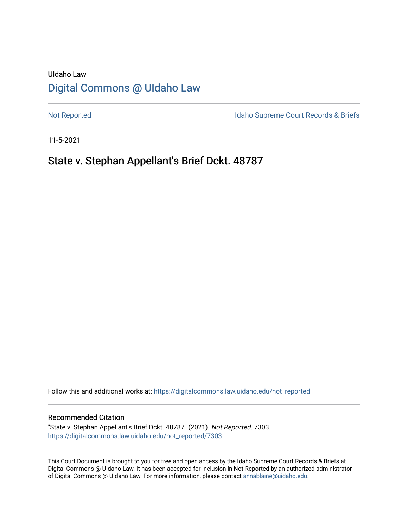# UIdaho Law [Digital Commons @ UIdaho Law](https://digitalcommons.law.uidaho.edu/)

[Not Reported](https://digitalcommons.law.uidaho.edu/not_reported) **Idaho Supreme Court Records & Briefs** 

11-5-2021

# State v. Stephan Appellant's Brief Dckt. 48787

Follow this and additional works at: [https://digitalcommons.law.uidaho.edu/not\\_reported](https://digitalcommons.law.uidaho.edu/not_reported?utm_source=digitalcommons.law.uidaho.edu%2Fnot_reported%2F7303&utm_medium=PDF&utm_campaign=PDFCoverPages) 

#### Recommended Citation

"State v. Stephan Appellant's Brief Dckt. 48787" (2021). Not Reported. 7303. [https://digitalcommons.law.uidaho.edu/not\\_reported/7303](https://digitalcommons.law.uidaho.edu/not_reported/7303?utm_source=digitalcommons.law.uidaho.edu%2Fnot_reported%2F7303&utm_medium=PDF&utm_campaign=PDFCoverPages)

This Court Document is brought to you for free and open access by the Idaho Supreme Court Records & Briefs at Digital Commons @ UIdaho Law. It has been accepted for inclusion in Not Reported by an authorized administrator of Digital Commons @ UIdaho Law. For more information, please contact [annablaine@uidaho.edu](mailto:annablaine@uidaho.edu).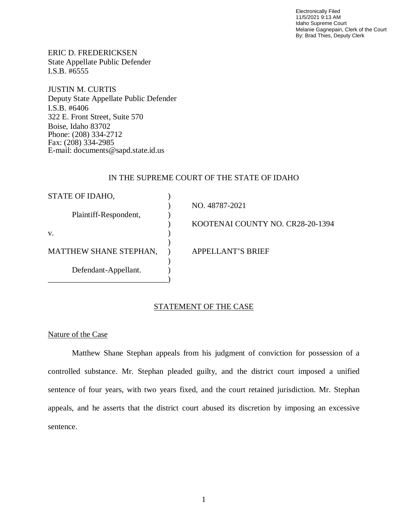Electronically Filed 11/5/2021 9:13 AM Idaho Supreme Court Melanie Gagnepain, Clerk of the Court By: Brad Thies, Deputy Clerk

ERIC D. FREDERICKSEN State Appellate Public Defender I.S.B. #6555

JUSTIN M. CURTIS Deputy State Appellate Public Defender I.S.B. #6406 322 E. Front Street, Suite 570 Boise, Idaho 83702 Phone: (208) 334-2712 Fax: (208) 334-2985 E-mail: documents@sapd.state.id.us

### IN THE SUPREME COURT OF THE STATE OF IDAHO

| STATE OF IDAHO,               |                                  |
|-------------------------------|----------------------------------|
|                               | NO. 48787-2021                   |
| Plaintiff-Respondent,         |                                  |
|                               | KOOTENAI COUNTY NO. CR28-20-1394 |
| V.                            |                                  |
|                               |                                  |
| <b>MATTHEW SHANE STEPHAN,</b> | <b>APPELLANT'S BRIEF</b>         |
|                               |                                  |
| Defendant-Appellant.          |                                  |
|                               |                                  |

## STATEMENT OF THE CASE

### Nature of the Case

Matthew Shane Stephan appeals from his judgment of conviction for possession of a controlled substance. Mr. Stephan pleaded guilty, and the district court imposed a unified sentence of four years, with two years fixed, and the court retained jurisdiction. Mr. Stephan appeals, and he asserts that the district court abused its discretion by imposing an excessive sentence.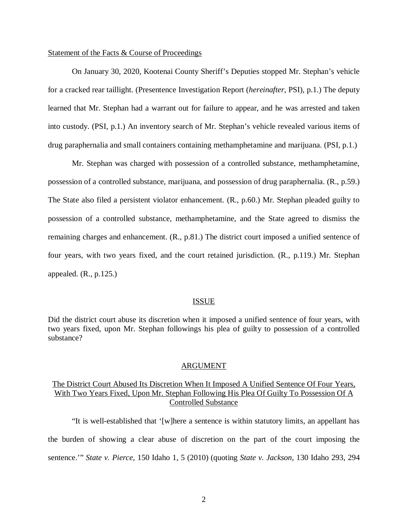#### Statement of the Facts & Course of Proceedings

On January 30, 2020, Kootenai County Sheriff's Deputies stopped Mr. Stephan's vehicle for a cracked rear taillight. (Presentence Investigation Report (*hereinafter*, PSI), p.1.) The deputy learned that Mr. Stephan had a warrant out for failure to appear, and he was arrested and taken into custody. (PSI, p.1.) An inventory search of Mr. Stephan's vehicle revealed various items of drug paraphernalia and small containers containing methamphetamine and marijuana. (PSI, p.1.)

Mr. Stephan was charged with possession of a controlled substance, methamphetamine, possession of a controlled substance, marijuana, and possession of drug paraphernalia. (R., p.59.) The State also filed a persistent violator enhancement. (R., p.60.) Mr. Stephan pleaded guilty to possession of a controlled substance, methamphetamine, and the State agreed to dismiss the remaining charges and enhancement. (R., p.81.) The district court imposed a unified sentence of four years, with two years fixed, and the court retained jurisdiction. (R., p.119.) Mr. Stephan appealed. (R., p.125.)

#### ISSUE

Did the district court abuse its discretion when it imposed a unified sentence of four years, with two years fixed, upon Mr. Stephan followings his plea of guilty to possession of a controlled substance?

#### ARGUMENT

## The District Court Abused Its Discretion When It Imposed A Unified Sentence Of Four Years, With Two Years Fixed, Upon Mr. Stephan Following His Plea Of Guilty To Possession Of A Controlled Substance

"It is well-established that '[w]here a sentence is within statutory limits, an appellant has the burden of showing a clear abuse of discretion on the part of the court imposing the sentence.'" *State v. Pierce*, 150 Idaho 1, 5 (2010) (quoting *State v. Jackson*, 130 Idaho 293, 294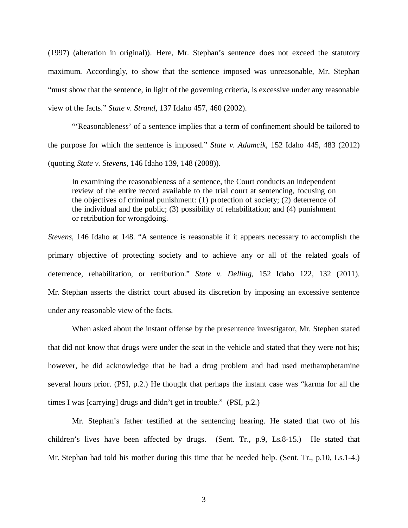(1997) (alteration in original)). Here, Mr. Stephan's sentence does not exceed the statutory maximum. Accordingly, to show that the sentence imposed was unreasonable, Mr. Stephan "must show that the sentence, in light of the governing criteria, is excessive under any reasonable view of the facts." *State v. Strand*, 137 Idaho 457, 460 (2002).

"'Reasonableness' of a sentence implies that a term of confinement should be tailored to the purpose for which the sentence is imposed." *State v. Adamcik*, 152 Idaho 445, 483 (2012) (quoting *State v. Stevens*, 146 Idaho 139, 148 (2008)).

In examining the reasonableness of a sentence, the Court conducts an independent review of the entire record available to the trial court at sentencing, focusing on the objectives of criminal punishment: (1) protection of society; (2) deterrence of the individual and the public; (3) possibility of rehabilitation; and (4) punishment or retribution for wrongdoing.

*Stevens*, 146 Idaho at 148. "A sentence is reasonable if it appears necessary to accomplish the primary objective of protecting society and to achieve any or all of the related goals of deterrence, rehabilitation, or retribution." *State v. Delling*, 152 Idaho 122, 132 (2011). Mr. Stephan asserts the district court abused its discretion by imposing an excessive sentence under any reasonable view of the facts.

When asked about the instant offense by the presentence investigator, Mr. Stephen stated that did not know that drugs were under the seat in the vehicle and stated that they were not his; however, he did acknowledge that he had a drug problem and had used methamphetamine several hours prior. (PSI, p.2.) He thought that perhaps the instant case was "karma for all the times I was [carrying] drugs and didn't get in trouble." (PSI, p.2.)

Mr. Stephan's father testified at the sentencing hearing. He stated that two of his children's lives have been affected by drugs. (Sent. Tr., p.9, Ls.8-15.) He stated that Mr. Stephan had told his mother during this time that he needed help. (Sent. Tr., p.10, Ls.1-4.)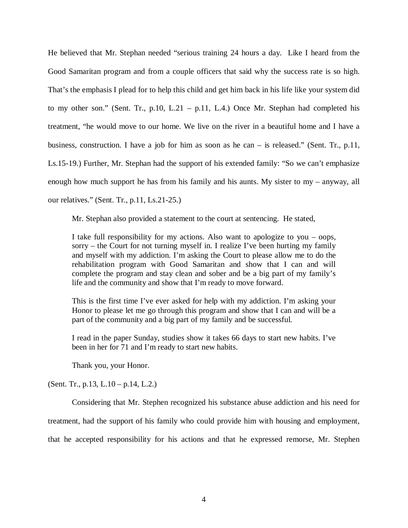He believed that Mr. Stephan needed "serious training 24 hours a day. Like I heard from the Good Samaritan program and from a couple officers that said why the success rate is so high. That's the emphasis I plead for to help this child and get him back in his life like your system did to my other son." (Sent. Tr., p.10, L.21 – p.11, L.4.) Once Mr. Stephan had completed his treatment, "he would move to our home. We live on the river in a beautiful home and I have a business, construction. I have a job for him as soon as he can – is released." (Sent. Tr., p.11, Ls.15-19.) Further, Mr. Stephan had the support of his extended family: "So we can't emphasize enough how much support he has from his family and his aunts. My sister to my – anyway, all our relatives." (Sent. Tr., p.11, Ls.21-25.)

Mr. Stephan also provided a statement to the court at sentencing. He stated,

I take full responsibility for my actions. Also want to apologize to you – oops, sorry – the Court for not turning myself in. I realize I've been hurting my family and myself with my addiction. I'm asking the Court to please allow me to do the rehabilitation program with Good Samaritan and show that I can and will complete the program and stay clean and sober and be a big part of my family's life and the community and show that I'm ready to move forward.

This is the first time I've ever asked for help with my addiction. I'm asking your Honor to please let me go through this program and show that I can and will be a part of the community and a big part of my family and be successful.

I read in the paper Sunday, studies show it takes 66 days to start new habits. I've been in her for 71 and I'm ready to start new habits.

Thank you, your Honor.

(Sent. Tr., p.13, L.10 – p.14, L.2.)

Considering that Mr. Stephen recognized his substance abuse addiction and his need for treatment, had the support of his family who could provide him with housing and employment, that he accepted responsibility for his actions and that he expressed remorse, Mr. Stephen